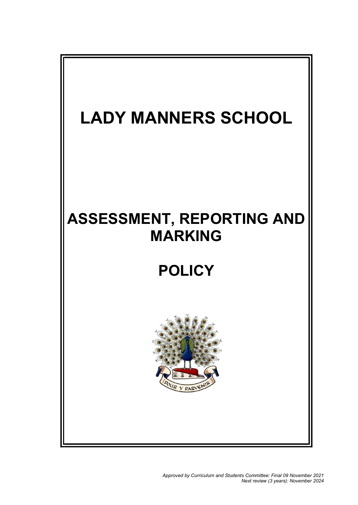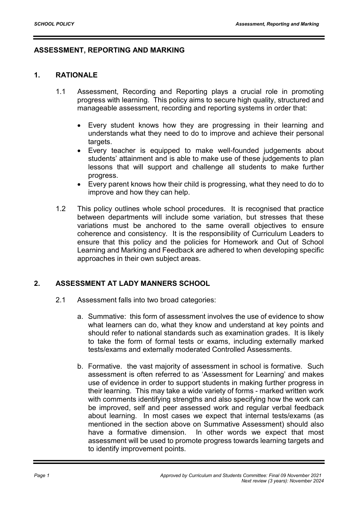## ASSESSMENT, REPORTING AND MARKING

## 1. RATIONALE

- 1.1 Assessment, Recording and Reporting plays a crucial role in promoting progress with learning. This policy aims to secure high quality, structured and manageable assessment, recording and reporting systems in order that:
	- Every student knows how they are progressing in their learning and understands what they need to do to improve and achieve their personal targets.
	- Every teacher is equipped to make well-founded judgements about students' attainment and is able to make use of these judgements to plan lessons that will support and challenge all students to make further progress.
	- Every parent knows how their child is progressing, what they need to do to improve and how they can help.
- 1.2 This policy outlines whole school procedures. It is recognised that practice between departments will include some variation, but stresses that these variations must be anchored to the same overall objectives to ensure coherence and consistency. It is the responsibility of Curriculum Leaders to ensure that this policy and the policies for Homework and Out of School Learning and Marking and Feedback are adhered to when developing specific approaches in their own subject areas.

# 2. ASSESSMENT AT LADY MANNERS SCHOOL

- 2.1 Assessment falls into two broad categories:
	- a. Summative: this form of assessment involves the use of evidence to show what learners can do, what they know and understand at key points and should refer to national standards such as examination grades. It is likely to take the form of formal tests or exams, including externally marked tests/exams and externally moderated Controlled Assessments.
	- b. Formative. the vast majority of assessment in school is formative. Such assessment is often referred to as 'Assessment for Learning' and makes use of evidence in order to support students in making further progress in their learning. This may take a wide variety of forms - marked written work with comments identifying strengths and also specifying how the work can be improved, self and peer assessed work and regular verbal feedback about learning. In most cases we expect that internal tests/exams (as mentioned in the section above on Summative Assessment) should also have a formative dimension. In other words we expect that most assessment will be used to promote progress towards learning targets and to identify improvement points.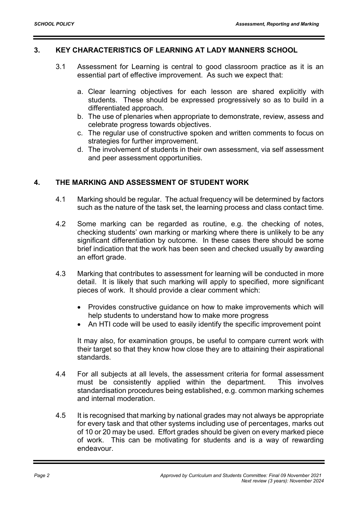### 3. KEY CHARACTERISTICS OF LEARNING AT LADY MANNERS SCHOOL

- 3.1 Assessment for Learning is central to good classroom practice as it is an essential part of effective improvement. As such we expect that:
	- a. Clear learning objectives for each lesson are shared explicitly with students. These should be expressed progressively so as to build in a differentiated approach.
	- b. The use of plenaries when appropriate to demonstrate, review, assess and celebrate progress towards objectives.
	- c. The regular use of constructive spoken and written comments to focus on strategies for further improvement.
	- d. The involvement of students in their own assessment, via self assessment and peer assessment opportunities.

## 4. THE MARKING AND ASSESSMENT OF STUDENT WORK

- 4.1 Marking should be regular. The actual frequency will be determined by factors such as the nature of the task set, the learning process and class contact time.
- 4.2 Some marking can be regarded as routine, e.g. the checking of notes, checking students' own marking or marking where there is unlikely to be any significant differentiation by outcome. In these cases there should be some brief indication that the work has been seen and checked usually by awarding an effort grade.
- 4.3 Marking that contributes to assessment for learning will be conducted in more detail. It is likely that such marking will apply to specified, more significant pieces of work. It should provide a clear comment which:
	- Provides constructive guidance on how to make improvements which will help students to understand how to make more progress
	- An HTI code will be used to easily identify the specific improvement point

It may also, for examination groups, be useful to compare current work with their target so that they know how close they are to attaining their aspirational standards.

- 4.4 For all subjects at all levels, the assessment criteria for formal assessment must be consistently applied within the department. This involves standardisation procedures being established, e.g. common marking schemes and internal moderation.
- 4.5 It is recognised that marking by national grades may not always be appropriate for every task and that other systems including use of percentages, marks out of 10 or 20 may be used. Effort grades should be given on every marked piece of work. This can be motivating for students and is a way of rewarding endeavour.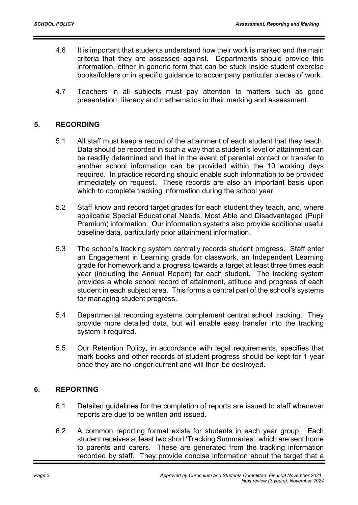- 4.6 It is important that students understand how their work is marked and the main criteria that they are assessed against. Departments should provide this information, either in generic form that can be stuck inside student exercise books/folders or in specific guidance to accompany particular pieces of work.
- 4.7 Teachers in all subjects must pay attention to matters such as good presentation, literacy and mathematics in their marking and assessment.

## 5. RECORDING

- 5.1 All staff must keep a record of the attainment of each student that they teach. Data should be recorded in such a way that a student's level of attainment can be readily determined and that in the event of parental contact or transfer to another school information can be provided within the 10 working days required. In practice recording should enable such information to be provided immediately on request. These records are also an important basis upon which to complete tracking information during the school year.
- 5.2 Staff know and record target grades for each student they teach, and, where applicable Special Educational Needs, Most Able and Disadvantaged (Pupil Premium) information. Our information systems also provide additional useful baseline data, particularly prior attainment information.
- 5.3 The school's tracking system centrally records student progress. Staff enter an Engagement in Learning grade for classwork, an Independent Learning grade for homework and a progress towards a target at least three times each year (including the Annual Report) for each student. The tracking system provides a whole school record of attainment, attitude and progress of each student in each subject area. This forms a central part of the school's systems for managing student progress.
- 5.4 Departmental recording systems complement central school tracking. They provide more detailed data, but will enable easy transfer into the tracking system if required.
- 5.5 Our Retention Policy, in accordance with legal requirements, specifies that mark books and other records of student progress should be kept for 1 year once they are no longer current and will then be destroyed.

### 6. REPORTING

- 6.1 Detailed guidelines for the completion of reports are issued to staff whenever reports are due to be written and issued.
- 6.2 A common reporting format exists for students in each year group. Each student receives at least two short 'Tracking Summaries', which are sent home to parents and carers. These are generated from the tracking information recorded by staff. They provide concise information about the target that a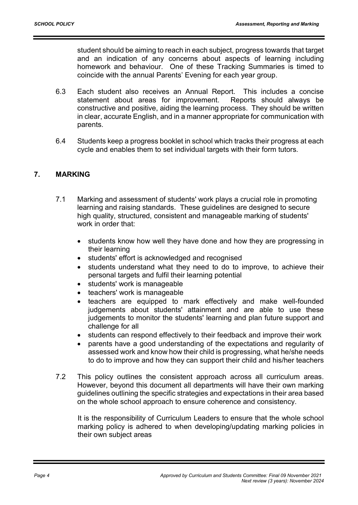student should be aiming to reach in each subject, progress towards that target and an indication of any concerns about aspects of learning including homework and behaviour. One of these Tracking Summaries is timed to coincide with the annual Parents' Evening for each year group.

- 6.3 Each student also receives an Annual Report. This includes a concise statement about areas for improvement. Reports should always be constructive and positive, aiding the learning process. They should be written in clear, accurate English, and in a manner appropriate for communication with parents.
- 6.4 Students keep a progress booklet in school which tracks their progress at each cycle and enables them to set individual targets with their form tutors.

### 7. MARKING

- 7.1 Marking and assessment of students' work plays a crucial role in promoting learning and raising standards. These guidelines are designed to secure high quality, structured, consistent and manageable marking of students' work in order that:
	- students know how well they have done and how they are progressing in their learning
	- students' effort is acknowledged and recognised
	- students understand what they need to do to improve, to achieve their personal targets and fulfil their learning potential
	- students' work is manageable
	- teachers' work is manageable
	- teachers are equipped to mark effectively and make well-founded judgements about students' attainment and are able to use these judgements to monitor the students' learning and plan future support and challenge for all
	- students can respond effectively to their feedback and improve their work
	- parents have a good understanding of the expectations and regularity of assessed work and know how their child is progressing, what he/she needs to do to improve and how they can support their child and his/her teachers
- 7.2 This policy outlines the consistent approach across all curriculum areas. However, beyond this document all departments will have their own marking guidelines outlining the specific strategies and expectations in their area based on the whole school approach to ensure coherence and consistency.

It is the responsibility of Curriculum Leaders to ensure that the whole school marking policy is adhered to when developing/updating marking policies in their own subject areas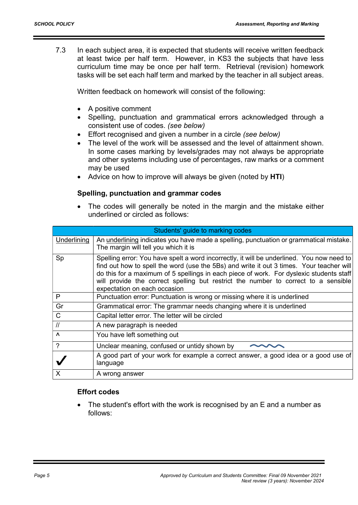7.3 In each subject area, it is expected that students will receive written feedback at least twice per half term. However, in KS3 the subjects that have less curriculum time may be once per half term. Retrieval (revision) homework tasks will be set each half term and marked by the teacher in all subject areas.

Written feedback on homework will consist of the following:

- A positive comment
- Spelling, punctuation and grammatical errors acknowledged through a consistent use of codes. (see below)
- Effort recognised and given a number in a circle (see below)
- The level of the work will be assessed and the level of attainment shown. In some cases marking by levels/grades may not always be appropriate and other systems including use of percentages, raw marks or a comment may be used
- Advice on how to improve will always be given (noted by HTI)

## Spelling, punctuation and grammar codes

 The codes will generally be noted in the margin and the mistake either underlined or circled as follows:

| Students' guide to marking codes |                                                                                                                                                                                                                                                                                                                                                                                                        |
|----------------------------------|--------------------------------------------------------------------------------------------------------------------------------------------------------------------------------------------------------------------------------------------------------------------------------------------------------------------------------------------------------------------------------------------------------|
| Underlining                      | An underlining indicates you have made a spelling, punctuation or grammatical mistake.<br>The margin will tell you which it is                                                                                                                                                                                                                                                                         |
| Sp                               | Spelling error: You have spelt a word incorrectly, it will be underlined. You now need to<br>find out how to spell the word (use the 5Bs) and write it out 3 times. Your teacher will<br>do this for a maximum of 5 spellings in each piece of work. For dyslexic students staff<br>will provide the correct spelling but restrict the number to correct to a sensible<br>expectation on each occasion |
| P                                | Punctuation error: Punctuation is wrong or missing where it is underlined                                                                                                                                                                                                                                                                                                                              |
| Gr                               | Grammatical error: The grammar needs changing where it is underlined                                                                                                                                                                                                                                                                                                                                   |
| $\mathsf{C}$                     | Capital letter error. The letter will be circled                                                                                                                                                                                                                                                                                                                                                       |
| $\frac{1}{2}$                    | A new paragraph is needed                                                                                                                                                                                                                                                                                                                                                                              |
| $\lambda$                        | You have left something out                                                                                                                                                                                                                                                                                                                                                                            |
| $\gamma$                         | Unclear meaning, confused or untidy shown by                                                                                                                                                                                                                                                                                                                                                           |
|                                  | A good part of your work for example a correct answer, a good idea or a good use of<br>language                                                                                                                                                                                                                                                                                                        |
| X                                | A wrong answer                                                                                                                                                                                                                                                                                                                                                                                         |

### Effort codes

 The student's effort with the work is recognised by an E and a number as follows: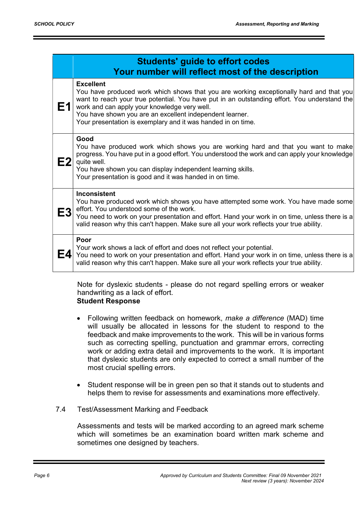| <b>Students' guide to effort codes</b><br>Your number will reflect most of the description |                                                                                                                                                                                                                                                                                                                                                                                         |
|--------------------------------------------------------------------------------------------|-----------------------------------------------------------------------------------------------------------------------------------------------------------------------------------------------------------------------------------------------------------------------------------------------------------------------------------------------------------------------------------------|
| Ε1                                                                                         | <b>Excellent</b><br>You have produced work which shows that you are working exceptionally hard and that you<br>want to reach your true potential. You have put in an outstanding effort. You understand the<br>work and can apply your knowledge very well.<br>You have shown you are an excellent independent learner.<br>Your presentation is exemplary and it was handed in on time. |
| E2                                                                                         | Good<br>You have produced work which shows you are working hard and that you want to make<br>progress. You have put in a good effort. You understood the work and can apply your knowledge<br>quite well.<br>You have shown you can display independent learning skills.<br>Your presentation is good and it was handed in on time.                                                     |
| E3                                                                                         | <b>Inconsistent</b><br>You have produced work which shows you have attempted some work. You have made some<br>effort. You understood some of the work.<br>You need to work on your presentation and effort. Hand your work in on time, unless there is a<br>valid reason why this can't happen. Make sure all your work reflects your true ability.                                     |
| Ε4                                                                                         | Poor<br>Your work shows a lack of effort and does not reflect your potential.<br>You need to work on your presentation and effort. Hand your work in on time, unless there is a<br>valid reason why this can't happen. Make sure all your work reflects your true ability.                                                                                                              |

Note for dyslexic students - please do not regard spelling errors or weaker handwriting as a lack of effort. Student Response

- Following written feedback on homework, make a difference (MAD) time will usually be allocated in lessons for the student to respond to the feedback and make improvements to the work. This will be in various forms such as correcting spelling, punctuation and grammar errors, correcting work or adding extra detail and improvements to the work. It is important that dyslexic students are only expected to correct a small number of the most crucial spelling errors.
- Student response will be in green pen so that it stands out to students and helps them to revise for assessments and examinations more effectively.
- 7.4 Test/Assessment Marking and Feedback

Assessments and tests will be marked according to an agreed mark scheme which will sometimes be an examination board written mark scheme and sometimes one designed by teachers.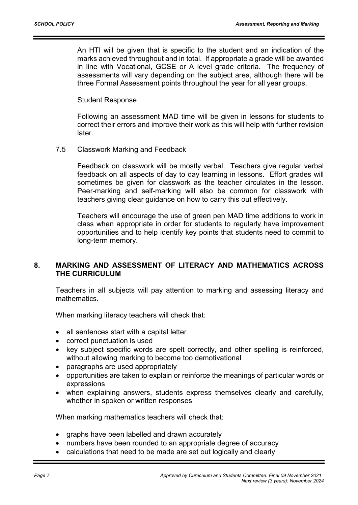An HTI will be given that is specific to the student and an indication of the marks achieved throughout and in total. If appropriate a grade will be awarded in line with Vocational, GCSE or A level grade criteria. The frequency of assessments will vary depending on the subject area, although there will be three Formal Assessment points throughout the year for all year groups.

Student Response

Following an assessment MAD time will be given in lessons for students to correct their errors and improve their work as this will help with further revision later.

7.5 Classwork Marking and Feedback

Feedback on classwork will be mostly verbal. Teachers give regular verbal feedback on all aspects of day to day learning in lessons. Effort grades will sometimes be given for classwork as the teacher circulates in the lesson. Peer-marking and self-marking will also be common for classwork with teachers giving clear guidance on how to carry this out effectively.

Teachers will encourage the use of green pen MAD time additions to work in class when appropriate in order for students to regularly have improvement opportunities and to help identify key points that students need to commit to long-term memory.

## 8. MARKING AND ASSESSMENT OF LITERACY AND MATHEMATICS ACROSS THE CURRICULUM

Teachers in all subjects will pay attention to marking and assessing literacy and mathematics.

When marking literacy teachers will check that:

- all sentences start with a capital letter
- correct punctuation is used
- key subject specific words are spelt correctly, and other spelling is reinforced, without allowing marking to become too demotivational
- paragraphs are used appropriately
- opportunities are taken to explain or reinforce the meanings of particular words or expressions
- when explaining answers, students express themselves clearly and carefully, whether in spoken or written responses

When marking mathematics teachers will check that:

- graphs have been labelled and drawn accurately
- numbers have been rounded to an appropriate degree of accuracy
- calculations that need to be made are set out logically and clearly